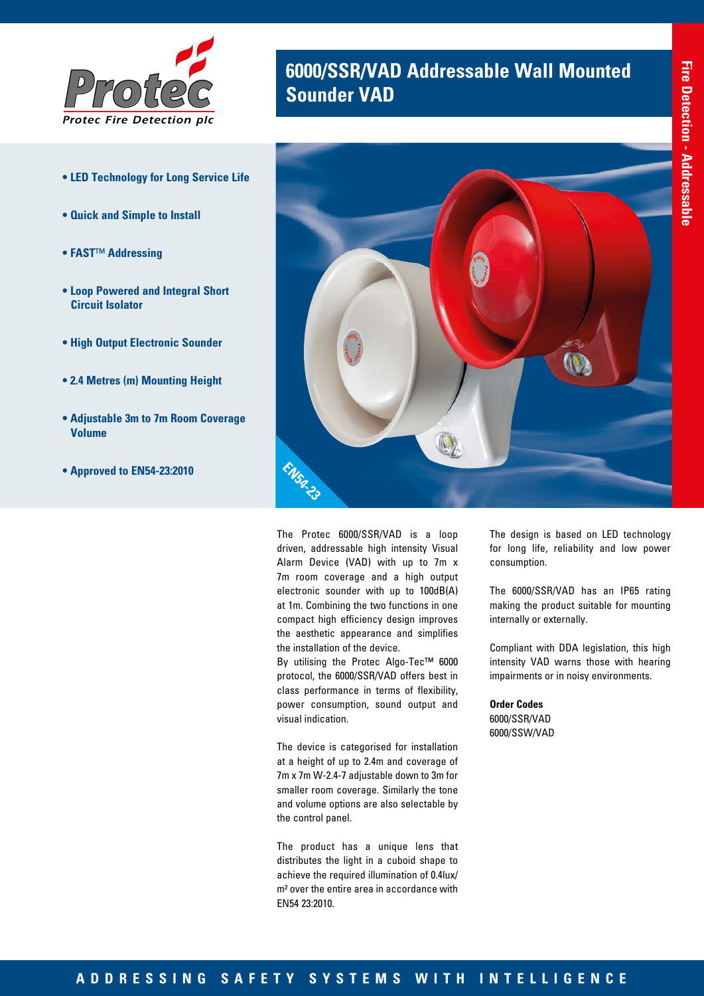

- **LED Technology for Long Service Life**
- **Quick and Simple to Install**
- **FAST**™ **Addressing**
- **Loop Powered and Integral Short Circuit Isolator**
- **High Output Electronic Sounder**
- **2.4 Metres (m) Mounting Height**
- **Adjustable 3m to 7m Room Coverage Volume**
- **Approved to EN54-23:2010**

# **6000/SSR/VAD Addressable Wall Mounted Sounder VAD**



The Protec 6000/SSR/VAD is a loop driven, addressable high intensity Visual Alarm Device (VAD) with up to 7m x 7m room coverage and a high output electronic sounder with up to 100dB(A) at 1m. Combining the two functions in one compact high efficiency design improves the aesthetic appearance and simplifies the installation of the device.

By utilising the Protec Algo-Tec™ 6000 protocol, the 6000/SSR/VAD offers best in class performance in terms of flexibility, power consumption, sound output and visual indication.

The device is categorised for installation at a height of up to 2.4m and coverage of 7m x 7m W-2.4-7 adjustable down to 3m for smaller room coverage. Similarly the tone and volume options are also selectable by the control panel.

The product has a unique lens that distributes the light in a cuboid shape to achieve the required illumination of 0.4lux/ m² over the entire area in accordance with EN54 23:2010.

The design is based on LED technology for long life, reliability and low power consumption.

The 6000/SSR/VAD has an IP65 rating making the product suitable for mounting internally or externally.

Compliant with DDA legislation, this high intensity VAD warns those with hearing impairments or in noisy environments.

**Order Codes** 6000/SSR/VAD 6000/SSW/VAD